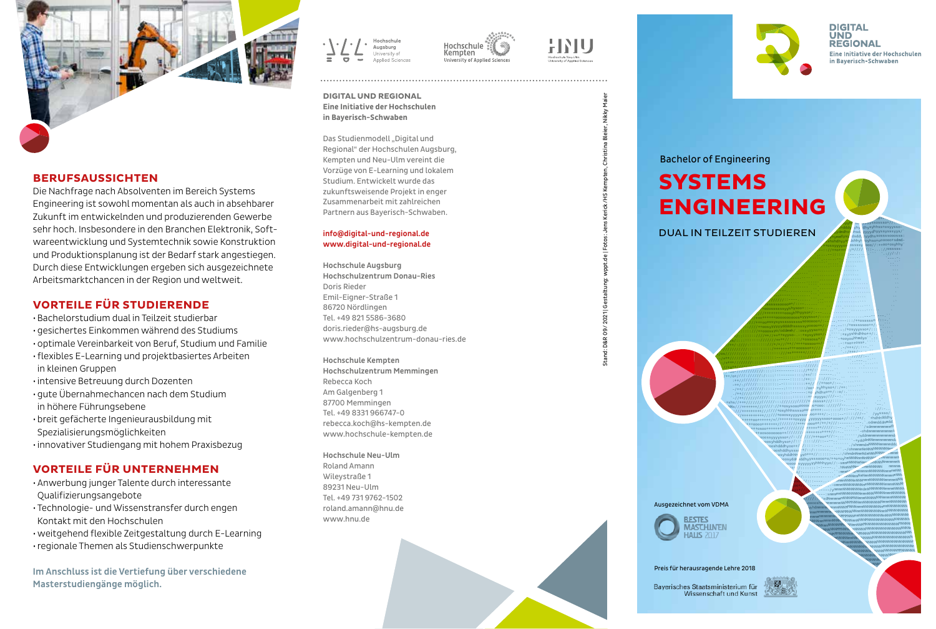



Die Nachfrage nach Absolventen im Bereich Systems Engineering ist sowohl momentan als auch in absehbarer Zukunft im entwickelnden und produzierenden Gewerbe sehr hoch. Insbesondere in den Branchen Elektronik, Softwareentwicklung und Systemtechnik sowie Konstruktion und Produktionsplanung ist der Bedarf stark angestiegen. Durch diese Entwicklungen ergeben sich ausgezeichnete Arbeitsmarktchancen in der Region und weltweit.

## **VORTEILE FÜR STUDIERENDE**

- · Bachelorstudium dual in Teilzeit studierbar
- · gesichertes Einkommen während des Studiums
- · optimale Vereinbarkeit von Beruf, Studium und Familie
- · flexibles E-Learning und projektbasiertes Arbeiten in kleinen Gruppen
- · intensive Betreuung durch Dozenten
- · qute Übernahmechancen nach dem Studium in höhere Führungsebene
- · breit gefächerte Ingenieurausbildung mit Spezialisierungsmöglichkeiten
- · innovativer Studiengang mit hohem Praxisbezug

# **VORTEILE FÜR UNTERNEHMEN**

- · Anwerbung junger Talente durch interessante Qualifizierungsangebote
- · Technologie- und Wissenstransfer durch engen Kontakt mit den Hochschulen
- · weitgehend flexible Zeitgestaltung durch E-Learning
- · regionale Themen als Studienschwerpunkte

Im Anschluss ist die Vertiefung über verschiedene Masterstudiengänge möglich.





**DIGITAL UND REGIONAL** Eine Initiative der Hochschulen in Baverisch-Schwaben

Das Studienmodell "Digital und Regional" der Hochschulen Augsburg, Kempten und Neu-Ulm vereint die Vorzüge von E-Learning und lokalem Studium, Entwickelt wurde das zukunftsweisende Projekt in enger Zusammenarbeit mit zahlreichen Partnern aus Bayerisch-Schwaben.

#### info@digital-und-regional.de www.digital-und-regional.de

**Hochschule Augsburg** Hochschulzentrum Donau-Ries Doris Rieder Emil-Eigner-Straße 1 86720 Nördlingen Tel. +49 821 5586-3680 doris.rieder@hs-augsburg.de www.hochschulzentrum-donau-ries.de

Hochschule Kempten Hochschulzentrum Memmingen Rebecca Koch Am Galgenberg 1 87700 Memmingen Tel. +49 8331 966747-0 rebecca.koch@hs-kempten.de www.hochschule-kempten.de

Hochschule Neu-Ulm Roland Amann Wileystraße 1 89231 Neu-Ulm Tel. +49 731 9762-1502 roland.amann@hnu.de www.hnu.de







**DIGITAL UND REGIONAL** Eine Initiative der Hochschulen in Bayerisch-Schwaben